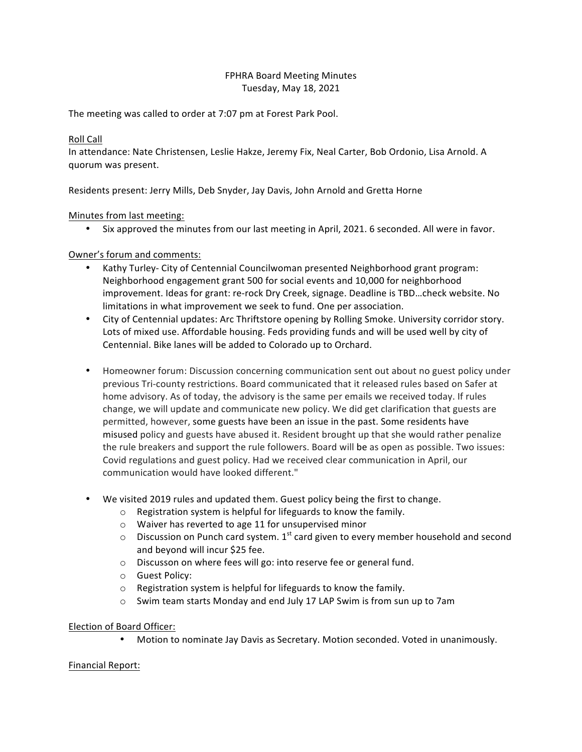## FPHRA Board Meeting Minutes Tuesday, May 18, 2021

The meeting was called to order at 7:07 pm at Forest Park Pool.

# Roll Call

In attendance: Nate Christensen, Leslie Hakze, Jeremy Fix, Neal Carter, Bob Ordonio, Lisa Arnold. A quorum was present.

Residents present: Jerry Mills, Deb Snyder, Jay Davis, John Arnold and Gretta Horne

## Minutes from last meeting:

• Six approved the minutes from our last meeting in April, 2021. 6 seconded. All were in favor.

## Owner's forum and comments:

- Kathy Turley- City of Centennial Councilwoman presented Neighborhood grant program: Neighborhood engagement grant 500 for social events and 10,000 for neighborhood improvement. Ideas for grant: re-rock Dry Creek, signage. Deadline is TBD...check website. No limitations in what improvement we seek to fund. One per association.
- City of Centennial updates: Arc Thriftstore opening by Rolling Smoke. University corridor story. Lots of mixed use. Affordable housing. Feds providing funds and will be used well by city of Centennial. Bike lanes will be added to Colorado up to Orchard.
- Homeowner forum: Discussion concerning communication sent out about no guest policy under previous Tri-county restrictions. Board communicated that it released rules based on Safer at home advisory. As of today, the advisory is the same per emails we received today. If rules change, we will update and communicate new policy. We did get clarification that guests are permitted, however, some guests have been an issue in the past. Some residents have misused policy and guests have abused it. Resident brought up that she would rather penalize the rule breakers and support the rule followers. Board will be as open as possible. Two issues: Covid regulations and guest policy. Had we received clear communication in April, our communication would have looked different."
- We visited 2019 rules and updated them. Guest policy being the first to change.
	- $\circ$  Registration system is helpful for lifeguards to know the family.
	- $\circ$  Waiver has reverted to age 11 for unsupervised minor
	- $\circ$  Discussion on Punch card system. 1<sup>st</sup> card given to every member household and second and beyond will incur \$25 fee.
	- $\circ$  Discusson on where fees will go: into reserve fee or general fund.
	- o Guest Policy:
	- $\circ$  Registration system is helpful for lifeguards to know the family.
	- o Swim team starts Monday and end July 17 LAP Swim is from sun up to 7am

## Election of Board Officer:

Motion to nominate Jay Davis as Secretary. Motion seconded. Voted in unanimously.

## Financial Report: